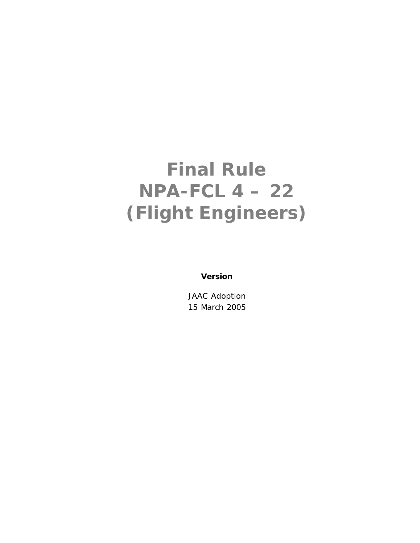# **Final Rule NPA-FCL 4 – 22 (Flight Engineers)**

**Version**

JAAC Adoption 15 March 2005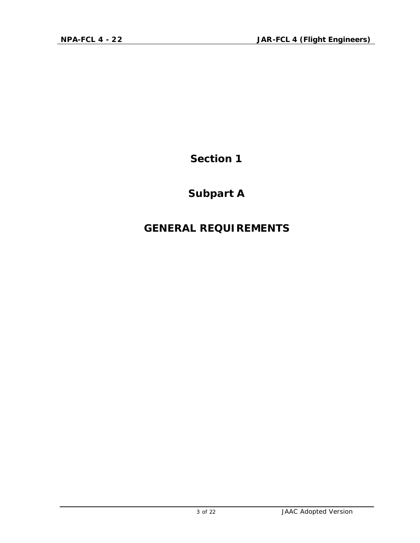## **Subpart A**

### **GENERAL REQUIREMENTS**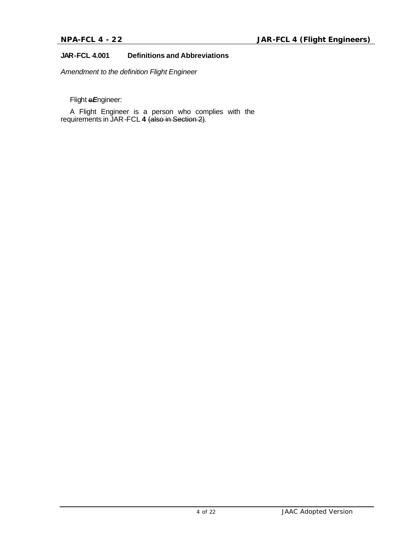#### **JAR-FCL 4.001 Definitions and Abbreviations**

*Amendment to the definition Flight Engineer*

Flight e*E*ngineer:

A Flight Engineer is a person who complies with the requirements in JAR-FCL **4** (also in Section 2).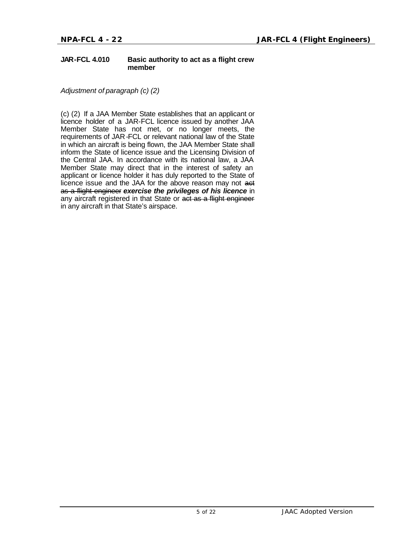#### **JAR-FCL 4.010 Basic authority to act as a flight crew member**

*Adjustment of paragraph (c) (2)*

(c) (2) If a JAA Member State establishes that an applicant or licence holder of a JAR-FCL licence issued by another JAA Member State has not met, or no longer meets, the requirements of JAR-FCL or relevant national law of the State in which an aircraft is being flown, the JAA Member State shall inform the State of licence issue and the Licensing Division of the Central JAA. In accordance with its national law, a JAA Member State may direct that in the interest of safety an applicant or licence holder it has duly reported to the State of licence issue and the JAA for the above reason may not aet as a flight engineer *exercise the privileges of his licence* in any aircraft registered in that State or act as a flight engineer in any aircraft in that State's airspace.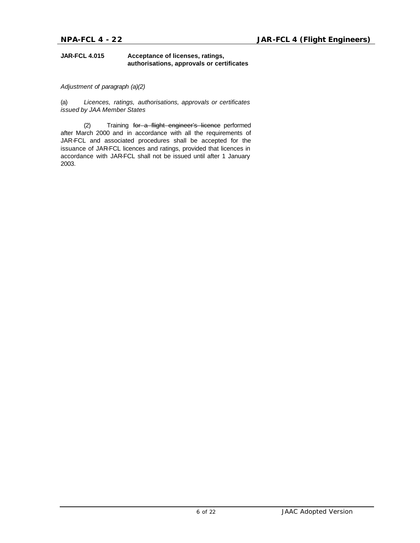#### **JAR-FCL 4.015 Acceptance of licenses, ratings, authorisations, approvals or certificates**

*Adjustment of paragraph (a)(2)*

(a) *Licences, ratings, authorisations, approvals or certificates issued by JAA Member States*

(2) Training for a flight engineer's licence performed after March 2000 and in accordance with all the requirements of JAR-FCL and associated procedures shall be accepted for the issuance of JAR-FCL licences and ratings, provided that licences in accordance with JAR-FCL shall not be issued until after 1 January 2003.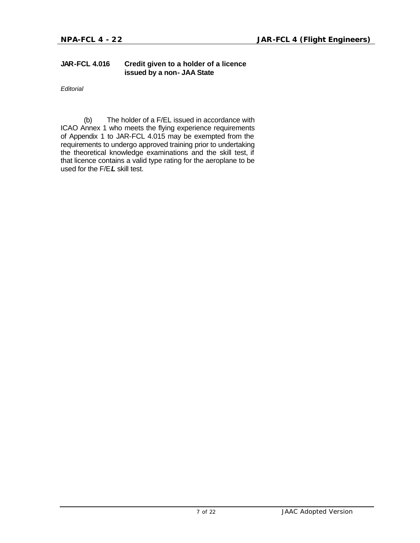#### **JAR-FCL 4.016 Credit given to a holder of a licence issued by a non- JAA State**

*Editorial* 

(b) The holder of a F/EL issued in accordance with ICAO Annex 1 who meets the flying experience requirements of Appendix 1 to JAR-FCL 4.015 may be exempted from the requirements to undergo approved training prior to undertaking the theoretical knowledge examinations and the skill test, if that licence contains a valid type rating for the aeroplane to be used for the F/E*L* skill test.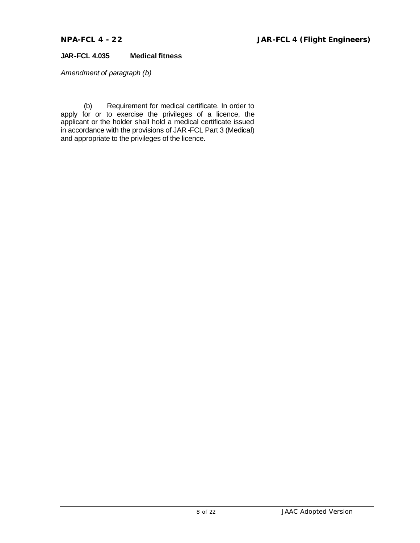#### **JAR-FCL 4.035 Medical fitness**

*Amendment of paragraph (b)*

(b) Requirement for medical certificate. In order to apply for or to exercise the privileges of a licence, the applicant or the holder shall hold a medical certificate issued in accordance with the provisions of JAR-FCL Part 3 (Medical) and appropriate to the privileges of the licence*.*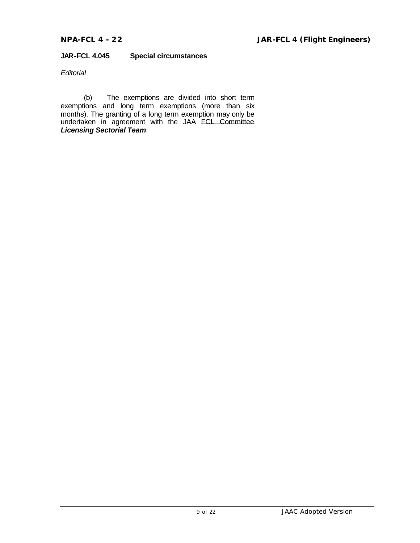#### **JAR-FCL 4.045 Special circumstances**

#### *Editorial*

(b) The exemptions are divided into short term exemptions and long term exemptions (more than six months). The granting of a long term exemption may only be undertaken in agreement with the JAA FCL Committee *Licensing Sectorial Team*.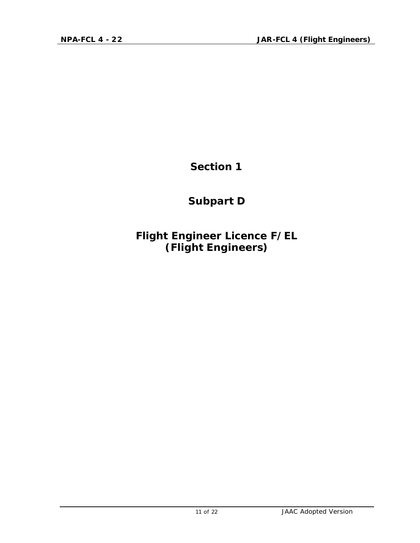**Subpart D**

**Flight Engineer Licence F/EL (Flight Engineers)**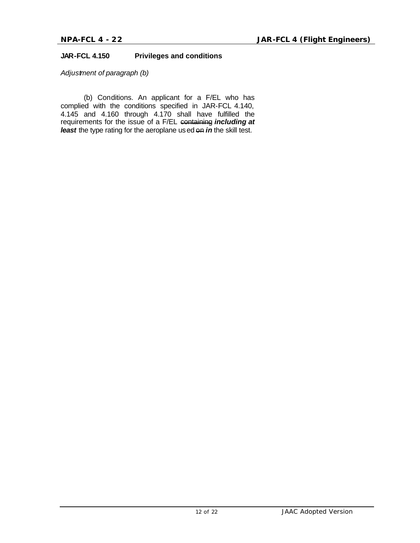#### **JAR-FCL 4.150 Privileges and conditions**

*Adjustment of paragraph (b)* 

(b) Conditions. An applicant for a F/EL who has complied with the conditions specified in JAR-FCL 4.140, 4.145 and 4.160 through 4.170 shall have fulfilled the requirements for the issue of a F/EL containing *including at least* the type rating for the aeroplane used on *in* the skill test.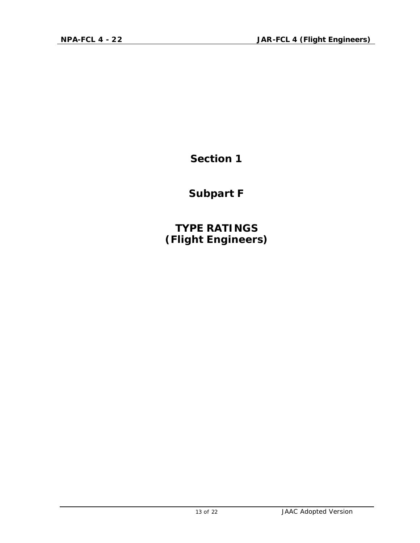**Subpart F**

**TYPE RATINGS (Flight Engineers)**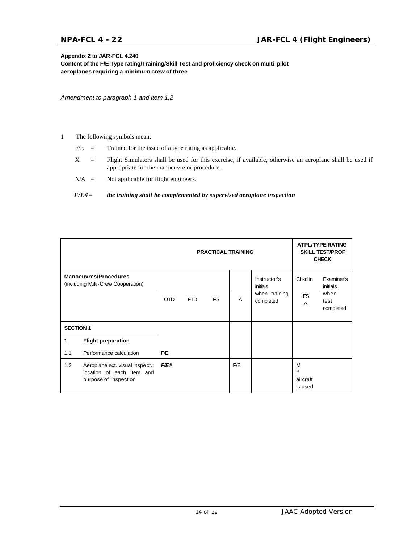#### **Appendix 2 to JAR-FCL 4.240**

**Content of the F/E Type rating/Training/Skill Test and proficiency check on multi-pilot aeroplanes requiring a minimum crew of three**

*Amendment to paragraph 1 and item 1,2*

#### 1 The following symbols mean:

- $F/E =$  Trained for the issue of a type rating as applicable.
- X = Flight Simulators shall be used for this exercise, if available, otherwise an aeroplane shall be used if appropriate for the manoeuvre or procedure.
- N/A = Not applicable for flight engineers.

#### *F/E# = the training shall be complemented by supervised aeroplane inspection*

|                                                                    |                                                                                       | <b>PRACTICAL TRAINING</b> |            |           |     |                            |                                | ATPL/TYPE-RATING<br><b>SKILL TEST/PROF</b><br><b>CHECK</b> |  |
|--------------------------------------------------------------------|---------------------------------------------------------------------------------------|---------------------------|------------|-----------|-----|----------------------------|--------------------------------|------------------------------------------------------------|--|
| <b>Manoeuvres/Procedures</b><br>(including Multi-Crew Cooperation) |                                                                                       |                           |            |           |     | Instructor's<br>initials   | Chkd in                        | Examiner's<br>initials                                     |  |
|                                                                    |                                                                                       | <b>OTD</b>                | <b>FTD</b> | <b>FS</b> | A   | when training<br>completed | <b>FS</b><br>A                 | when<br>test<br>completed                                  |  |
| <b>SECTION 1</b>                                                   |                                                                                       |                           |            |           |     |                            |                                |                                                            |  |
| 1                                                                  | <b>Flight preparation</b>                                                             |                           |            |           |     |                            |                                |                                                            |  |
| 1.1                                                                | Performance calculation                                                               | F/E                       |            |           |     |                            |                                |                                                            |  |
| 1.2                                                                | Aeroplane ext. visual inspect.;<br>location of each item and<br>purpose of inspection | <i>F/E#</i>               |            |           | F/E |                            | M<br>if<br>aircraft<br>is used |                                                            |  |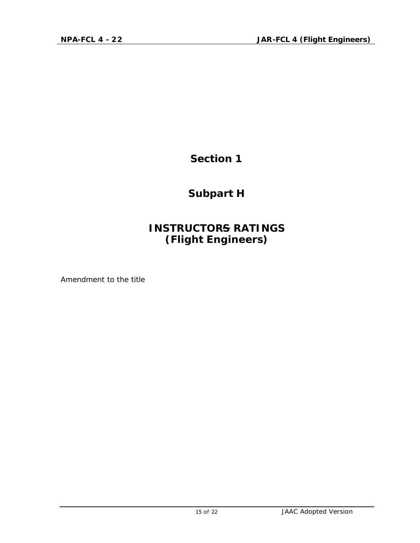**Subpart H**

### **INSTRUCTORS RATINGS (Flight Engineers)**

*Amendment to the title*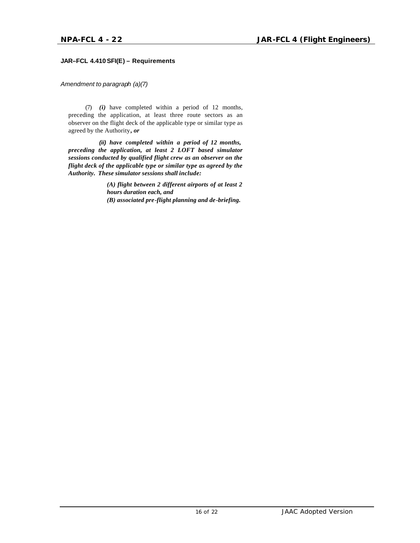#### **JAR–FCL 4.410 SFI(E) – Requirements**

*Amendment to paragraph (a)(7)*

(7) *(i)* have completed within a period of 12 months, preceding the application, at least three route sectors as an observer on the flight deck of the applicable type or similar type as agreed by the Authority*, or*

*(ii) have completed within a period of 12 months, preceding the application, at least 2 LOFT based simulator sessions conducted by qualified flight crew as an observer on the flight deck of the applicable type or similar type as agreed by the Authority. These simulator sessions shall include:*

> *(A) flight between 2 different airports of at least 2 hours duration each, and (B) associated pre-flight planning and de-briefing.*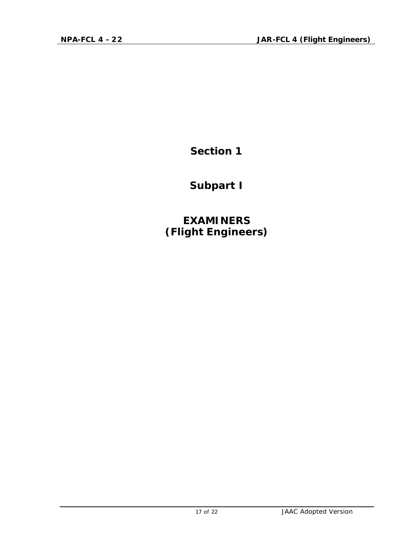**Subpart I**

**EXAMINERS (Flight Engineers)**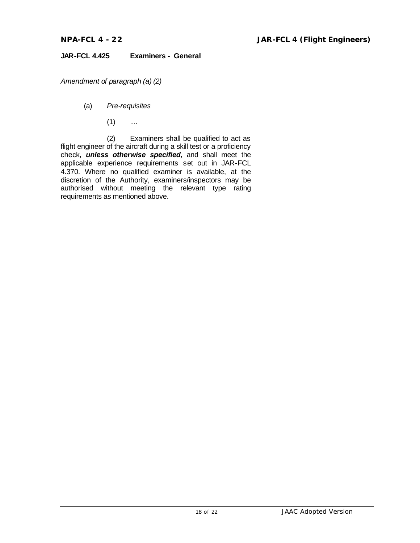#### **JAR-FCL 4.425 Examiners - General**

*Amendment of paragraph (a) (2)*

- (a) *Pre-requisites*
	- $(1)$  ....

(2) Examiners shall be qualified to act as flight engineer of the aircraft during a skill test or a proficiency check*, unless otherwise specified,* and shall meet the applicable experience requirements set out in JAR**-**FCL 4.370. Where no qualified examiner is available, at the discretion of the Authority, examiners/inspectors may be authorised without meeting the relevant type rating requirements as mentioned above.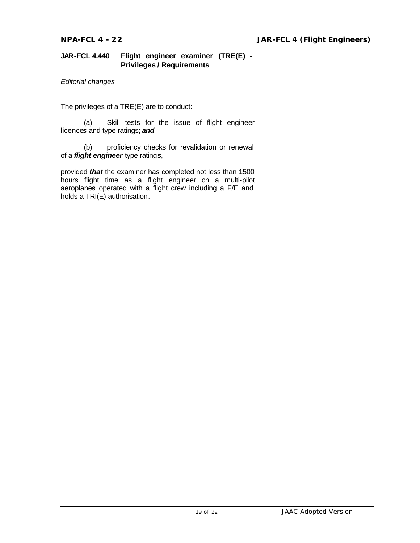#### **JAR-FCL 4.440 Flight engineer examiner (TRE(E) - Privileges / Requirements**

*Editorial changes* 

The privileges of a TRE(E) are to conduct:

(a) Skill tests for the issue of flight engineer licence*s* and type ratings; *and*

(b) proficiency checks for revalidation or renewal of a *flight engineer* type rating*s*,

provided *that* the examiner has completed not less than 1500 hours flight time as a flight engineer on a multi-pilot aeroplane*s* operated with a flight crew including a F/E and holds a TRI(E) authorisation.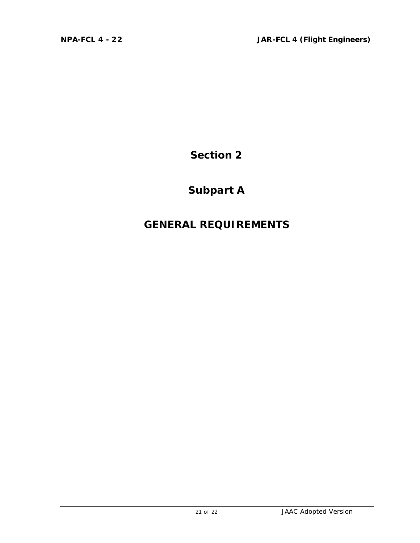### **Subpart A**

### **GENERAL REQUIREMENTS**